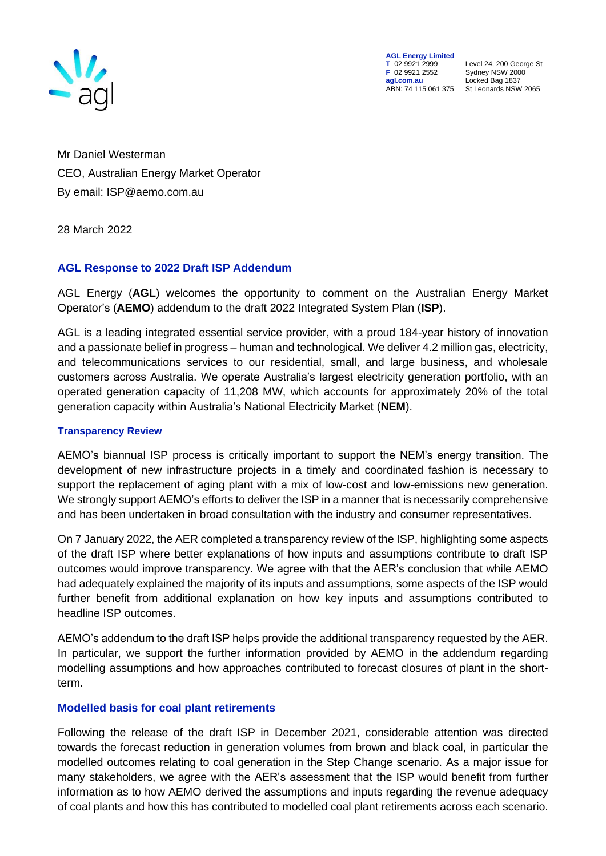

**AGL Energy Limited**<br> **T** 02 9921 2999<br> **F** 02 9921 2552 **F** 02 9921 2552 Sydney NSW 2000 ABN: 74 115 061 375

**T** 02 9921 2999 Level 24, 200 George St **agl.com.au** Locked Bag 1837<br>ABN: 74 115 061 375 St Leonards NSW 2065

Mr Daniel Westerman CEO, Australian Energy Market Operator By email: ISP@aemo.com.au

28 March 2022

## **AGL Response to 2022 Draft ISP Addendum**

AGL Energy (**AGL**) welcomes the opportunity to comment on the Australian Energy Market Operator's (**AEMO**) addendum to the draft 2022 Integrated System Plan (**ISP**).

AGL is a leading integrated essential service provider, with a proud 184-year history of innovation and a passionate belief in progress – human and technological. We deliver 4.2 million gas, electricity, and telecommunications services to our residential, small, and large business, and wholesale customers across Australia. We operate Australia's largest electricity generation portfolio, with an operated generation capacity of 11,208 MW, which accounts for approximately 20% of the total generation capacity within Australia's National Electricity Market (**NEM**).

#### **Transparency Review**

AEMO's biannual ISP process is critically important to support the NEM's energy transition. The development of new infrastructure projects in a timely and coordinated fashion is necessary to support the replacement of aging plant with a mix of low-cost and low-emissions new generation. We strongly support AEMO's efforts to deliver the ISP in a manner that is necessarily comprehensive and has been undertaken in broad consultation with the industry and consumer representatives.

On 7 January 2022, the AER completed a transparency review of the ISP, highlighting some aspects of the draft ISP where better explanations of how inputs and assumptions contribute to draft ISP outcomes would improve transparency. We agree with that the AER's conclusion that while AEMO had adequately explained the majority of its inputs and assumptions, some aspects of the ISP would further benefit from additional explanation on how key inputs and assumptions contributed to headline ISP outcomes.

AEMO's addendum to the draft ISP helps provide the additional transparency requested by the AER. In particular, we support the further information provided by AEMO in the addendum regarding modelling assumptions and how approaches contributed to forecast closures of plant in the shortterm.

### **Modelled basis for coal plant retirements**

Following the release of the draft ISP in December 2021, considerable attention was directed towards the forecast reduction in generation volumes from brown and black coal, in particular the modelled outcomes relating to coal generation in the Step Change scenario. As a major issue for many stakeholders, we agree with the AER's assessment that the ISP would benefit from further information as to how AEMO derived the assumptions and inputs regarding the revenue adequacy of coal plants and how this has contributed to modelled coal plant retirements across each scenario.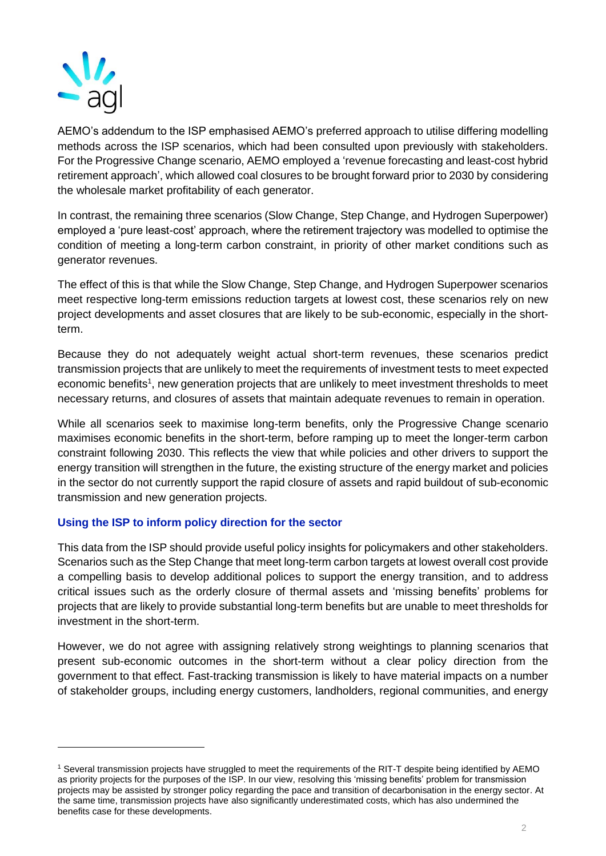

AEMO's addendum to the ISP emphasised AEMO's preferred approach to utilise differing modelling methods across the ISP scenarios, which had been consulted upon previously with stakeholders. For the Progressive Change scenario, AEMO employed a 'revenue forecasting and least-cost hybrid retirement approach', which allowed coal closures to be brought forward prior to 2030 by considering the wholesale market profitability of each generator.

In contrast, the remaining three scenarios (Slow Change, Step Change, and Hydrogen Superpower) employed a 'pure least-cost' approach, where the retirement trajectory was modelled to optimise the condition of meeting a long-term carbon constraint, in priority of other market conditions such as generator revenues.

The effect of this is that while the Slow Change, Step Change, and Hydrogen Superpower scenarios meet respective long-term emissions reduction targets at lowest cost, these scenarios rely on new project developments and asset closures that are likely to be sub-economic, especially in the shortterm.

Because they do not adequately weight actual short-term revenues, these scenarios predict transmission projects that are unlikely to meet the requirements of investment tests to meet expected economic benefits<sup>1</sup>, new generation projects that are unlikely to meet investment thresholds to meet necessary returns, and closures of assets that maintain adequate revenues to remain in operation.

While all scenarios seek to maximise long-term benefits, only the Progressive Change scenario maximises economic benefits in the short-term, before ramping up to meet the longer-term carbon constraint following 2030. This reflects the view that while policies and other drivers to support the energy transition will strengthen in the future, the existing structure of the energy market and policies in the sector do not currently support the rapid closure of assets and rapid buildout of sub-economic transmission and new generation projects.

# **Using the ISP to inform policy direction for the sector**

This data from the ISP should provide useful policy insights for policymakers and other stakeholders. Scenarios such as the Step Change that meet long-term carbon targets at lowest overall cost provide a compelling basis to develop additional polices to support the energy transition, and to address critical issues such as the orderly closure of thermal assets and 'missing benefits' problems for projects that are likely to provide substantial long-term benefits but are unable to meet thresholds for investment in the short-term.

However, we do not agree with assigning relatively strong weightings to planning scenarios that present sub-economic outcomes in the short-term without a clear policy direction from the government to that effect. Fast-tracking transmission is likely to have material impacts on a number of stakeholder groups, including energy customers, landholders, regional communities, and energy

<sup>1</sup> Several transmission projects have struggled to meet the requirements of the RIT-T despite being identified by AEMO as priority projects for the purposes of the ISP. In our view, resolving this 'missing benefits' problem for transmission projects may be assisted by stronger policy regarding the pace and transition of decarbonisation in the energy sector. At the same time, transmission projects have also significantly underestimated costs, which has also undermined the benefits case for these developments.